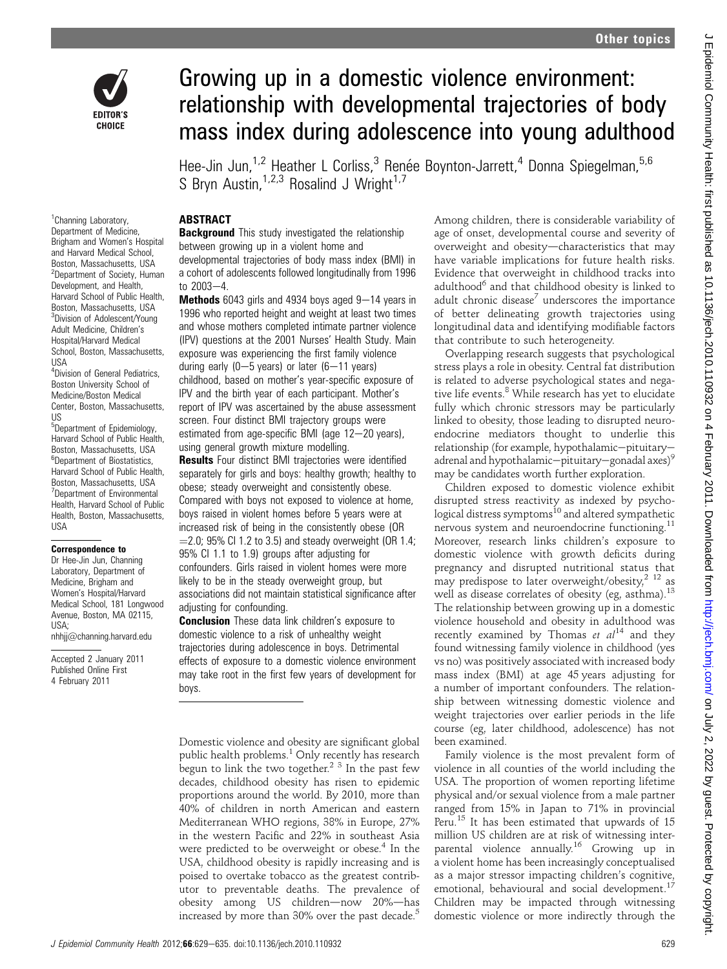

# Growing up in a domestic violence environment: relationship with developmental trajectories of body mass index during adolescence into young adulthood

Hee-Jin Jun,<sup>1,2</sup> Heather L Corliss,<sup>3</sup> Renée Boynton-Jarrett,<sup>4</sup> Donna Spiegelman,<sup>5,6</sup> S Bryn Austin,<sup>1,2,3</sup> Rosalind J Wright<sup>1,7</sup>

## **ABSTRACT**

**Background** This study investigated the relationship between growing up in a violent home and developmental trajectories of body mass index (BMI) in a cohort of adolescents followed longitudinally from 1996 to 2003-4.

**Methods** 6043 girls and 4934 boys aged  $9-14$  years in 1996 who reported height and weight at least two times and whose mothers completed intimate partner violence (IPV) questions at the 2001 Nurses' Health Study. Main exposure was experiencing the first family violence during early  $(0-5$  years) or later  $(6-11)$  years) childhood, based on mother's year-specific exposure of IPV and the birth year of each participant. Mother's report of IPV was ascertained by the abuse assessment screen. Four distinct BMI trajectory groups were estimated from age-specific BMI (age 12-20 years), using general growth mixture modelling.

**Results** Four distinct BMI trajectories were identified separately for girls and boys: healthy growth; healthy to obese; steady overweight and consistently obese. Compared with boys not exposed to violence at home, boys raised in violent homes before 5 years were at increased risk of being in the consistently obese (OR  $=$  2.0; 95% CI 1.2 to 3.5) and steady overweight (OR 1.4; 95% CI 1.1 to 1.9) groups after adjusting for confounders. Girls raised in violent homes were more likely to be in the steady overweight group, but associations did not maintain statistical significance after adjusting for confounding.

**Conclusion** These data link children's exposure to domestic violence to a risk of unhealthy weight trajectories during adolescence in boys. Detrimental effects of exposure to a domestic violence environment may take root in the first few years of development for boys.

Domestic violence and obesity are significant global public health problems.<sup>1</sup> Only recently has research begun to link the two together.<sup>2 3</sup> In the past few decades, childhood obesity has risen to epidemic proportions around the world. By 2010, more than 40% of children in north American and eastern Mediterranean WHO regions, 38% in Europe, 27% in the western Pacific and 22% in southeast Asia were predicted to be overweight or obese. $4$  In the USA, childhood obesity is rapidly increasing and is poised to overtake tobacco as the greatest contributor to preventable deaths. The prevalence of obesity among US children-now 20%-has increased by more than 30% over the past decade.<sup>5</sup>

Among children, there is considerable variability of age of onset, developmental course and severity of overweight and obesity-characteristics that may have variable implications for future health risks. Evidence that overweight in childhood tracks into adulthood $^6$  and that childhood obesity is linked to adult chronic disease<sup>7</sup> underscores the importance of better delineating growth trajectories using longitudinal data and identifying modifiable factors that contribute to such heterogeneity.

Overlapping research suggests that psychological stress plays a role in obesity. Central fat distribution is related to adverse psychological states and negative life events.<sup>8</sup> While research has yet to elucidate fully which chronic stressors may be particularly linked to obesity, those leading to disrupted neuroendocrine mediators thought to underlie this relationship (for example, hypothalamic-pituitaryadrenal and hypothalamic-pituitary-gonadal axes)<sup>9</sup> may be candidates worth further exploration.

Children exposed to domestic violence exhibit disrupted stress reactivity as indexed by psychological distress symptoms $^{10}$  and altered sympathetic nervous system and neuroendocrine functioning.<sup>11</sup> Moreover, research links children's exposure to domestic violence with growth deficits during pregnancy and disrupted nutritional status that may predispose to later overweight/obesity,<sup>2 12</sup> as well as disease correlates of obesity (eg, asthma).<sup>13</sup> The relationship between growing up in a domestic violence household and obesity in adulthood was recently examined by Thomas et  $al^{14}$  and they found witnessing family violence in childhood (yes vs no) was positively associated with increased body mass index (BMI) at age 45 years adjusting for a number of important confounders. The relationship between witnessing domestic violence and weight trajectories over earlier periods in the life course (eg, later childhood, adolescence) has not been examined.

Family violence is the most prevalent form of violence in all counties of the world including the USA. The proportion of women reporting lifetime physical and/or sexual violence from a male partner ranged from 15% in Japan to 71% in provincial Peru.<sup>15</sup> It has been estimated that upwards of  $15$ million US children are at risk of witnessing interparental violence annually.<sup>16</sup> Growing up in a violent home has been increasingly conceptualised as a major stressor impacting children's cognitive, emotional, behavioural and social development.<sup>17</sup> Children may be impacted through witnessing domestic violence or more indirectly through the

<sup>1</sup> Channing Laboratory, Department of Medicine, Brigham and Women's Hospital and Harvard Medical School, Boston, Massachusetts, USA <sup>2</sup>Department of Society, Human Development, and Health, Harvard School of Public Health, Boston, Massachusetts, USA <sup>3</sup>Division of Adolescent/Young Adult Medicine, Children's Hospital/Harvard Medical School, Boston, Massachusetts, USA

4 Division of General Pediatrics, Boston University School of Medicine/Boston Medical Center, Boston, Massachusetts, US

<sup>5</sup>Department of Epidemiology, Harvard School of Public Health, Boston, Massachusetts, USA 6 Department of Biostatistics, Harvard School of Public Health, Boston, Massachusetts, USA <sup>7</sup>Department of Environmental Health, Harvard School of Public Health, Boston, Massachusetts, **IISA** 

#### Correspondence to

Dr Hee-Jin Jun, Channing Laboratory, Department of Medicine, Brigham and Women's Hospital/Harvard Medical School, 181 Longwood Avenue, Boston, MA 02115, USA; nhhjj@channing.harvard.edu

Accepted 2 January 2011 Published Online First 4 February 2011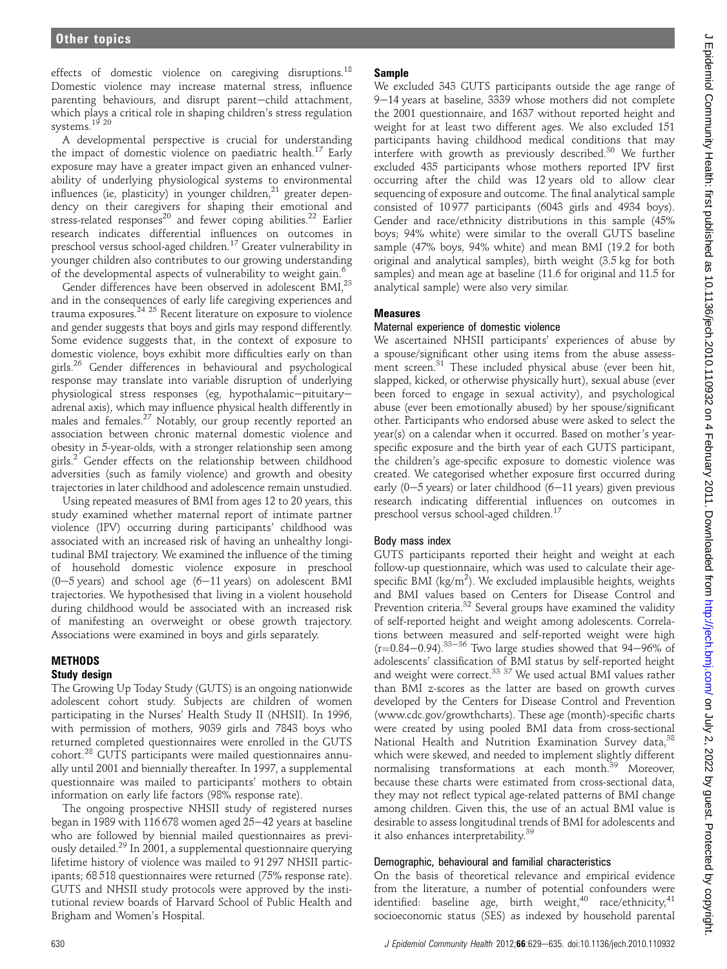effects of domestic violence on caregiving disruptions.<sup>18</sup> Domestic violence may increase maternal stress, influence parenting behaviours, and disrupt parent-child attachment, which plays a critical role in shaping children's stress regulation systems.19 20

A developmental perspective is crucial for understanding the impact of domestic violence on paediatric health.<sup>17</sup> Early exposure may have a greater impact given an enhanced vulnerability of underlying physiological systems to environmental influences (ie, plasticity) in younger children, $^{21}$  greater dependency on their caregivers for shaping their emotional and stress-related responses<sup>20</sup> and fewer coping abilities.<sup>22</sup> Earlier research indicates differential influences on outcomes in preschool versus school-aged children.<sup>17</sup> Greater vulnerability in younger children also contributes to our growing understanding of the developmental aspects of vulnerability to weight gain.<sup>6</sup>

Gender differences have been observed in adolescent BMI,23 and in the consequences of early life caregiving experiences and trauma exposures.24 25 Recent literature on exposure to violence and gender suggests that boys and girls may respond differently. Some evidence suggests that, in the context of exposure to domestic violence, boys exhibit more difficulties early on than girls.<sup>26</sup> Gender differences in behavioural and psychological response may translate into variable disruption of underlying physiological stress responses (eg, hypothalamic-pituitaryadrenal axis), which may influence physical health differently in males and females.<sup>27</sup> Notably, our group recently reported an association between chronic maternal domestic violence and obesity in 5-year-olds, with a stronger relationship seen among girls.<sup>2</sup> Gender effects on the relationship between childhood adversities (such as family violence) and growth and obesity trajectories in later childhood and adolescence remain unstudied.

Using repeated measures of BMI from ages 12 to 20 years, this study examined whether maternal report of intimate partner violence (IPV) occurring during participants' childhood was associated with an increased risk of having an unhealthy longitudinal BMI trajectory. We examined the influence of the timing of household domestic violence exposure in preschool  $(0-5$  years) and school age  $(6-11)$  years) on adolescent BMI trajectories. We hypothesised that living in a violent household during childhood would be associated with an increased risk of manifesting an overweight or obese growth trajectory. Associations were examined in boys and girls separately.

## **METHODS**

#### Study design

The Growing Up Today Study (GUTS) is an ongoing nationwide adolescent cohort study. Subjects are children of women participating in the Nurses' Health Study II (NHSII). In 1996, with permission of mothers, 9039 girls and 7843 boys who returned completed questionnaires were enrolled in the GUTS cohort.<sup>28</sup> GUTS participants were mailed questionnaires annually until 2001 and biennially thereafter. In 1997, a supplemental questionnaire was mailed to participants' mothers to obtain information on early life factors (98% response rate).

The ongoing prospective NHSII study of registered nurses began in 1989 with 116 678 women aged  $25-42$  years at baseline who are followed by biennial mailed questionnaires as previously detailed.29 In 2001, a supplemental questionnaire querying lifetime history of violence was mailed to 91 297 NHSII participants; 68 518 questionnaires were returned (75% response rate). GUTS and NHSII study protocols were approved by the institutional review boards of Harvard School of Public Health and Brigham and Women's Hospital.

#### Sample

We excluded 343 GUTS participants outside the age range of 9–14 years at baseline, 3339 whose mothers did not complete the 2001 questionnaire, and 1637 without reported height and weight for at least two different ages. We also excluded 151 participants having childhood medical conditions that may interfere with growth as previously described.<sup>30</sup> We further excluded 435 participants whose mothers reported IPV first occurring after the child was 12 years old to allow clear sequencing of exposure and outcome. The final analytical sample consisted of 10 977 participants (6043 girls and 4934 boys). Gender and race/ethnicity distributions in this sample (45% boys; 94% white) were similar to the overall GUTS baseline sample (47% boys, 94% white) and mean BMI (19.2 for both original and analytical samples), birth weight (3.5 kg for both samples) and mean age at baseline (11.6 for original and 11.5 for analytical sample) were also very similar.

## Measures

#### Maternal experience of domestic violence

We ascertained NHSII participants' experiences of abuse by a spouse/significant other using items from the abuse assessment screen.<sup>31</sup> These included physical abuse (ever been hit, slapped, kicked, or otherwise physically hurt), sexual abuse (ever been forced to engage in sexual activity), and psychological abuse (ever been emotionally abused) by her spouse/significant other. Participants who endorsed abuse were asked to select the year(s) on a calendar when it occurred. Based on mother's yearspecific exposure and the birth year of each GUTS participant, the children's age-specific exposure to domestic violence was created. We categorised whether exposure first occurred during early (0-5 years) or later childhood (6-11 years) given previous research indicating differential influences on outcomes in preschool versus school-aged children.<sup>17</sup>

#### Body mass index

GUTS participants reported their height and weight at each follow-up questionnaire, which was used to calculate their agespecific BMI ( $\text{kg/m}^2$ ). We excluded implausible heights, weights and BMI values based on Centers for Disease Control and Prevention criteria.<sup>32</sup> Several groups have examined the validity of self-reported height and weight among adolescents. Correlations between measured and self-reported weight were high  $(r=0.84-0.94)$ .  $33-36$  Two large studies showed that 94-96% of adolescents' classification of BMI status by self-reported height and weight were correct. $^{33}$   $^{37}$  We used actual BMI values rather than BMI z-scores as the latter are based on growth curves developed by the Centers for Disease Control and Prevention (www.cdc.gov/growthcharts). These age (month)-specific charts were created by using pooled BMI data from cross-sectional National Health and Nutrition Examination Survey data, 38 which were skewed, and needed to implement slightly different normalising transformations at each month.<sup>39</sup> Moreover, because these charts were estimated from cross-sectional data, they may not reflect typical age-related patterns of BMI change among children. Given this, the use of an actual BMI value is desirable to assess longitudinal trends of BMI for adolescents and it also enhances interpretability.<sup>39</sup>

#### Demographic, behavioural and familial characteristics

On the basis of theoretical relevance and empirical evidence from the literature, a number of potential confounders were identified: baseline age, birth weight, $40$  race/ethnicity, $41$ socioeconomic status (SES) as indexed by household parental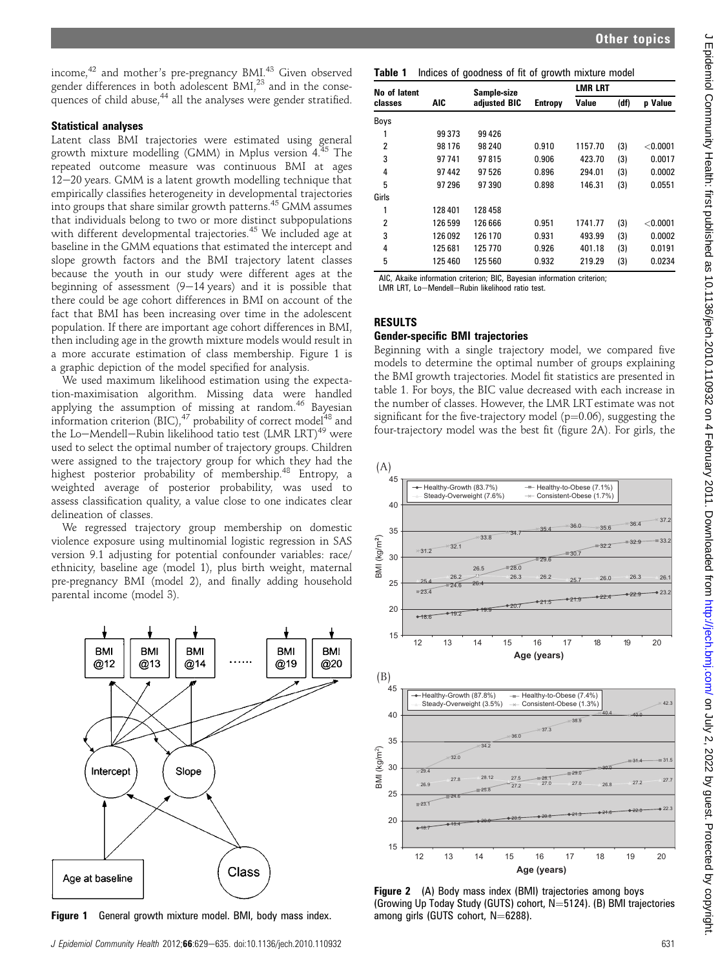income,<sup>42</sup> and mother's pre-pregnancy BMI.<sup>43</sup> Given observed gender differences in both adolescent BMI,<sup>23</sup> and in the consequences of child abuse,  $44$  all the analyses were gender stratified.

## Statistical analyses

Latent class BMI trajectories were estimated using general growth mixture modelling (GMM) in Mplus version  $4^{45}$  The repeated outcome measure was continuous BMI at ages  $12-20$  years. GMM is a latent growth modelling technique that empirically classifies heterogeneity in developmental trajectories into groups that share similar growth patterns.45 GMM assumes that individuals belong to two or more distinct subpopulations with different developmental trajectories.<sup>45</sup> We included age at baseline in the GMM equations that estimated the intercept and slope growth factors and the BMI trajectory latent classes because the youth in our study were different ages at the beginning of assessment  $(9-14 \text{ years})$  and it is possible that there could be age cohort differences in BMI on account of the fact that BMI has been increasing over time in the adolescent population. If there are important age cohort differences in BMI, then including age in the growth mixture models would result in a more accurate estimation of class membership. Figure 1 is a graphic depiction of the model specified for analysis.

We used maximum likelihood estimation using the expectation-maximisation algorithm. Missing data were handled applying the assumption of missing at random.<sup>46</sup> Bayesian information criterion (BIC), $47$  probability of correct model $48$  and the Lo-Mendell-Rubin likelihood tatio test (LMR LRT)<sup>49</sup> were used to select the optimal number of trajectory groups. Children were assigned to the trajectory group for which they had the highest posterior probability of membership.<sup>48</sup> Entropy, a weighted average of posterior probability, was used to assess classification quality, a value close to one indicates clear delineation of classes.

We regressed trajectory group membership on domestic violence exposure using multinomial logistic regression in SAS version 9.1 adjusting for potential confounder variables: race/ ethnicity, baseline age (model 1), plus birth weight, maternal pre-pregnancy BMI (model 2), and finally adding household parental income (model 3).



Figure 1 General growth mixture model. BMI, body mass index.

|  | <b>Table 1</b> Indices of goodness of fit of growth mixture model |  |  |
|--|-------------------------------------------------------------------|--|--|
|  |                                                                   |  |  |

| No of latent |         | Sample-size  |                |              | <b>LMR LRT</b> |          |  |
|--------------|---------|--------------|----------------|--------------|----------------|----------|--|
| classes      | AIC     | adjusted BIC | <b>Entropy</b> | <b>Value</b> | (df)           | p Value  |  |
| Boys         |         |              |                |              |                |          |  |
|              | 99373   | 99426        |                |              |                |          |  |
| 2            | 98176   | 98 240       | 0.910          | 1157.70      | (3)            | < 0.0001 |  |
| 3            | 97 741  | 97815        | 0.906          | 423.70       | (3)            | 0.0017   |  |
| 4            | 97442   | 97526        | 0.896          | 294.01       | (3)            | 0.0002   |  |
| 5            | 97 296  | 97390        | 0.898          | 146.31       | (3)            | 0.0551   |  |
| Girls        |         |              |                |              |                |          |  |
| 1            | 128401  | 128458       |                |              |                |          |  |
| 2            | 126 599 | 126 666      | 0.951          | 1741.77      | (3)            | < 0.0001 |  |
| 3            | 126092  | 126 170      | 0.931          | 493.99       | (3)            | 0.0002   |  |
| 4            | 125681  | 125770       | 0.926          | 401.18       | (3)            | 0.0191   |  |
| 5            | 125460  | 125 560      | 0.932          | 219.29       | (3)            | 0.0234   |  |

AIC, Akaike information criterion; BIC, Bayesian information criterion;

LMR LRT, Lo-Mendell-Rubin likelihood ratio test.

# RESULTS

## Gender-specific BMI trajectories

Beginning with a single trajectory model, we compared five models to determine the optimal number of groups explaining the BMI growth trajectories. Model fit statistics are presented in table 1. For boys, the BIC value decreased with each increase in the number of classes. However, the LMR LRT estimate was not significant for the five-trajectory model ( $p=0.06$ ), suggesting the four-trajectory model was the best fit (figure 2A). For girls, the



Figure 2 (A) Body mass index (BMI) trajectories among boys (Growing Up Today Study (GUTS) cohort,  $N=5124$ ). (B) BMI trajectories among girls (GUTS cohort,  $N=6288$ ).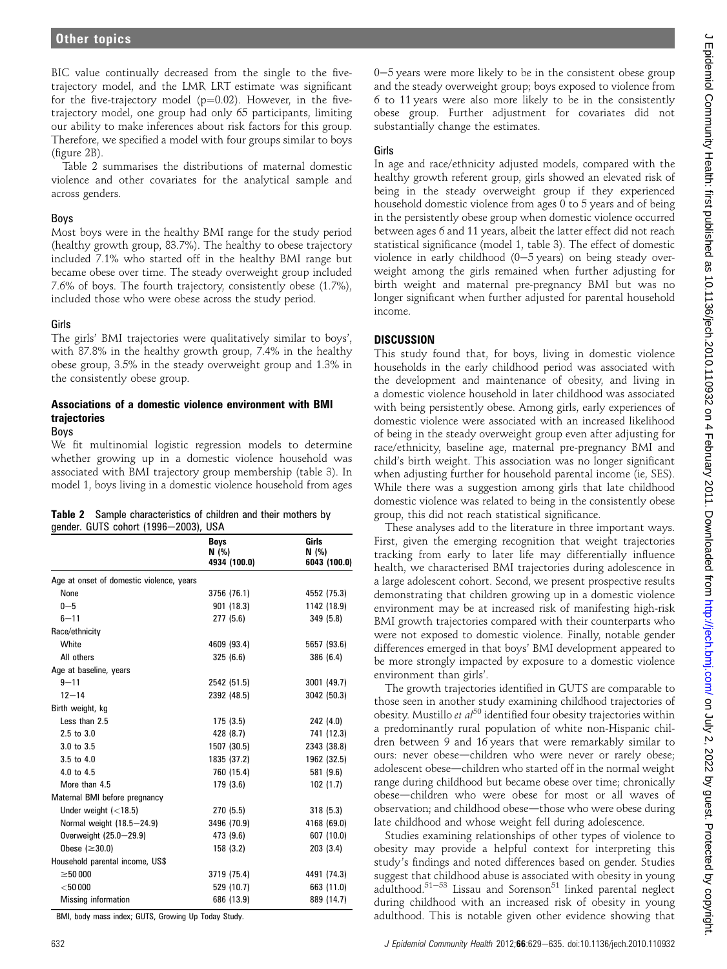BIC value continually decreased from the single to the fivetrajectory model, and the LMR LRT estimate was significant for the five-trajectory model ( $p=0.02$ ). However, in the fivetrajectory model, one group had only 65 participants, limiting our ability to make inferences about risk factors for this group. Therefore, we specified a model with four groups similar to boys (figure 2B).

Table 2 summarises the distributions of maternal domestic violence and other covariates for the analytical sample and across genders.

## Boys

Most boys were in the healthy BMI range for the study period (healthy growth group, 83.7%). The healthy to obese trajectory included 7.1% who started off in the healthy BMI range but became obese over time. The steady overweight group included 7.6% of boys. The fourth trajectory, consistently obese (1.7%), included those who were obese across the study period.

## Girls

The girls' BMI trajectories were qualitatively similar to boys', with 87.8% in the healthy growth group, 7.4% in the healthy obese group, 3.5% in the steady overweight group and 1.3% in the consistently obese group.

# Associations of a domestic violence environment with BMI trajectories

#### Boys

We fit multinomial logistic regression models to determine whether growing up in a domestic violence household was associated with BMI trajectory group membership (table 3). In model 1, boys living in a domestic violence household from ages

| <b>Table 2</b> Sample characteristics of children and their mothers by |  |
|------------------------------------------------------------------------|--|
| gender. GUTS cohort (1996-2003), USA                                   |  |

|                                          | Boys<br>N (%)<br>4934 (100.0) | Girls<br>N (%)<br>6043 (100.0) |
|------------------------------------------|-------------------------------|--------------------------------|
| Age at onset of domestic violence, years |                               |                                |
| None                                     | 3756 (76.1)                   | 4552 (75.3)                    |
| $0 - 5$                                  | 901 (18.3)                    | 1142 (18.9)                    |
| $6 - 11$                                 | 277(5.6)                      | 349 (5.8)                      |
| Race/ethnicity                           |                               |                                |
| White                                    | 4609 (93.4)                   | 5657 (93.6)                    |
| All others                               | 325(6.6)                      | 386 (6.4)                      |
| Age at baseline, years                   |                               |                                |
| $9 - 11$                                 | 2542 (51.5)                   | 3001 (49.7)                    |
| $12 - 14$                                | 2392 (48.5)                   | 3042 (50.3)                    |
| Birth weight, kg                         |                               |                                |
| Less than 2.5                            | 175(3.5)                      | 242 (4.0)                      |
| 2.5 to 3.0                               | 428 (8.7)                     | 741 (12.3)                     |
| 3.0 to 3.5                               | 1507 (30.5)                   | 2343 (38.8)                    |
| 3.5 to 4.0                               | 1835 (37.2)                   | 1962 (32.5)                    |
| 4.0 to 4.5                               | 760 (15.4)                    | 581 (9.6)                      |
| More than 4.5                            | 179 (3.6)                     | 102(1.7)                       |
| Maternal BMI before pregnancy            |                               |                                |
| Under weight $(<18.5)$                   | 270(5.5)                      | 318(5.3)                       |
| Normal weight (18.5-24.9)                | 3496 (70.9)                   | 4168 (69.0)                    |
| Overweight (25.0-29.9)                   | 473 (9.6)                     | 607 (10.0)                     |
| Obese $(\geq 30.0)$                      | 158 (3.2)                     | 203 (3.4)                      |
| Household parental income, US\$          |                               |                                |
| $\geq$ 50 000                            | 3719 (75.4)                   | 4491 (74.3)                    |
| $<$ 50 000                               | 529 (10.7)                    | 663 (11.0)                     |
| Missing information                      | 686 (13.9)                    | 889 (14.7)                     |

BMI, body mass index; GUTS, Growing Up Today Study.

 $0-5$  years were more likely to be in the consistent obese group and the steady overweight group; boys exposed to violence from 6 to 11 years were also more likely to be in the consistently obese group. Further adjustment for covariates did not substantially change the estimates.

## Girls

In age and race/ethnicity adjusted models, compared with the healthy growth referent group, girls showed an elevated risk of being in the steady overweight group if they experienced household domestic violence from ages 0 to 5 years and of being in the persistently obese group when domestic violence occurred between ages 6 and 11 years, albeit the latter effect did not reach statistical significance (model 1, table 3). The effect of domestic violence in early childhood  $(0-5$  years) on being steady overweight among the girls remained when further adjusting for birth weight and maternal pre-pregnancy BMI but was no longer significant when further adjusted for parental household income.

## **DISCUSSION**

This study found that, for boys, living in domestic violence households in the early childhood period was associated with the development and maintenance of obesity, and living in a domestic violence household in later childhood was associated with being persistently obese. Among girls, early experiences of domestic violence were associated with an increased likelihood of being in the steady overweight group even after adjusting for race/ethnicity, baseline age, maternal pre-pregnancy BMI and child's birth weight. This association was no longer significant when adjusting further for household parental income (ie, SES). While there was a suggestion among girls that late childhood domestic violence was related to being in the consistently obese group, this did not reach statistical significance.

These analyses add to the literature in three important ways. First, given the emerging recognition that weight trajectories tracking from early to later life may differentially influence health, we characterised BMI trajectories during adolescence in a large adolescent cohort. Second, we present prospective results demonstrating that children growing up in a domestic violence environment may be at increased risk of manifesting high-risk BMI growth trajectories compared with their counterparts who were not exposed to domestic violence. Finally, notable gender differences emerged in that boys' BMI development appeared to be more strongly impacted by exposure to a domestic violence environment than girls'.

The growth trajectories identified in GUTS are comparable to those seen in another study examining childhood trajectories of obesity. Mustillo et  $a_1^{50}$  identified four obesity trajectories within a predominantly rural population of white non-Hispanic children between 9 and 16 years that were remarkably similar to ours: never obese-children who were never or rarely obese; adolescent obese-children who started off in the normal weight range during childhood but became obese over time; chronically obese-children who were obese for most or all waves of observation; and childhood obese-those who were obese during late childhood and whose weight fell during adolescence.

Studies examining relationships of other types of violence to obesity may provide a helpful context for interpreting this study's findings and noted differences based on gender. Studies suggest that childhood abuse is associated with obesity in young adulthood. $51-53$  Lissau and Sorenson<sup>51</sup> linked parental neglect during childhood with an increased risk of obesity in young adulthood. This is notable given other evidence showing that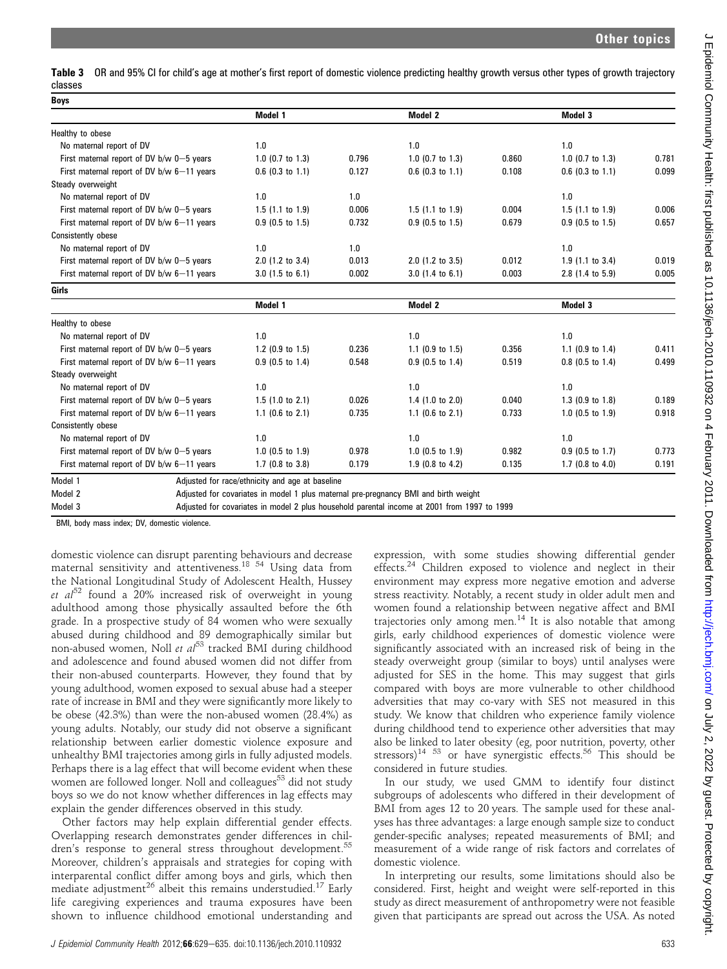Table 3 OR and 95% CI for child's age at mother's first report of domestic violence predicting healthy growth versus other types of growth trajectory classes

| <b>Boys</b>                                  |                                                                                     |       |                             |       |                             |         |  |
|----------------------------------------------|-------------------------------------------------------------------------------------|-------|-----------------------------|-------|-----------------------------|---------|--|
|                                              | Model 1                                                                             |       | Model 2                     |       |                             | Model 3 |  |
| Healthy to obese                             |                                                                                     |       |                             |       |                             |         |  |
| No maternal report of DV                     | 1.0                                                                                 |       | 1.0                         |       | 1.0                         |         |  |
| First maternal report of DV b/w 0-5 years    | $1.0$ (0.7 to 1.3)                                                                  | 0.796 | $1.0$ (0.7 to 1.3)          | 0.860 | $1.0$ (0.7 to 1.3)          | 0.781   |  |
| First maternal report of DV $b/w$ 6-11 years | $0.6$ (0.3 to 1.1)                                                                  | 0.127 | $0.6$ (0.3 to 1.1)          | 0.108 | $0.6$ (0.3 to 1.1)          | 0.099   |  |
| Steady overweight                            |                                                                                     |       |                             |       |                             |         |  |
| No maternal report of DV                     | 1.0                                                                                 | 1.0   |                             |       | 1.0                         |         |  |
| First maternal report of DV b/w 0-5 years    | $1.5$ (1.1 to 1.9)                                                                  | 0.006 | $1.5$ (1.1 to 1.9)          | 0.004 | $1.5$ (1.1 to 1.9)          | 0.006   |  |
| First maternal report of DV $b/w$ 6-11 years | $0.9$ (0.5 to 1.5)                                                                  | 0.732 | $0.9$ (0.5 to 1.5)          | 0.679 | $0.9$ (0.5 to 1.5)          | 0.657   |  |
| Consistently obese                           |                                                                                     |       |                             |       |                             |         |  |
| No maternal report of DV                     | 1.0                                                                                 | 1.0   |                             |       | 1.0                         |         |  |
| First maternal report of DV b/w 0-5 years    | 2.0 (1.2 to 3.4)                                                                    | 0.013 | 2.0 (1.2 to 3.5)            | 0.012 | $1.9$ (1.1 to 3.4)          | 0.019   |  |
| First maternal report of DV b/w 6-11 years   | $3.0$ (1.5 to 6.1)                                                                  | 0.002 | $3.0$ (1.4 to 6.1)          | 0.003 | 2.8 (1.4 to 5.9)            | 0.005   |  |
| Girls                                        |                                                                                     |       |                             |       |                             |         |  |
|                                              | Model 1                                                                             |       | Model 2                     |       | Model 3                     |         |  |
| Healthy to obese                             |                                                                                     |       |                             |       |                             |         |  |
| No maternal report of DV                     | 1.0                                                                                 |       | 1.0                         |       | 1.0                         |         |  |
| First maternal report of DV b/w 0-5 years    | 1.2 (0.9 to $1.5$ )                                                                 | 0.236 | 1.1 $(0.9 \text{ to } 1.5)$ | 0.356 | 1.1 $(0.9 \text{ to } 1.4)$ | 0.411   |  |
| First maternal report of DV b/w 6-11 years   | $0.9$ (0.5 to 1.4)                                                                  | 0.548 | $0.9$ (0.5 to 1.4)          | 0.519 | $0.8$ (0.5 to 1.4)          | 0.499   |  |
| Steady overweight                            |                                                                                     |       |                             |       |                             |         |  |
| No maternal report of DV                     | 1.0                                                                                 |       | 1.0                         |       | 1.0                         |         |  |
| First maternal report of DV b/w 0-5 years    | $1.5$ (1.0 to 2.1)                                                                  | 0.026 | 1.4 $(1.0 \text{ to } 2.0)$ | 0.040 | $1.3$ (0.9 to $1.8$ )       | 0.189   |  |
| First maternal report of DV b/w 6-11 years   | $1.1$ (0.6 to 2.1)                                                                  | 0.735 | $1.1$ (0.6 to 2.1)          | 0.733 | $1.0$ (0.5 to $1.9$ )       | 0.918   |  |
| Consistently obese                           |                                                                                     |       |                             |       |                             |         |  |
| No maternal report of DV                     | 1.0                                                                                 |       | 1.0                         |       | 1.0                         |         |  |
| First maternal report of DV b/w 0-5 years    | $1.0$ (0.5 to $1.9$ )                                                               | 0.978 | $1.0$ (0.5 to 1.9)          | 0.982 | $0.9$ (0.5 to 1.7)          | 0.773   |  |
| First maternal report of DV b/w 6-11 years   | $1.7$ (0.8 to 3.8)                                                                  | 0.179 | $1.9$ (0.8 to 4.2)          | 0.135 | $1.7$ (0.8 to 4.0)          | 0.191   |  |
| Model 1                                      | Adjusted for race/ethnicity and age at baseline                                     |       |                             |       |                             |         |  |
| Model 2                                      | Adjusted for covariates in model 1 plus maternal pre-pregnancy BMI and birth weight |       |                             |       |                             |         |  |

Model 3 Adjusted for covariates in model 2 plus household parental income at 2001 from 1997 to 1999

BMI, body mass index; DV, domestic violence.

domestic violence can disrupt parenting behaviours and decrease maternal sensitivity and attentiveness.18 54 Using data from the National Longitudinal Study of Adolescent Health, Hussey et  $a^{52}$  found a 20% increased risk of overweight in young adulthood among those physically assaulted before the 6th grade. In a prospective study of 84 women who were sexually abused during childhood and 89 demographically similar but non-abused women, Noll et  $al^{53}$  tracked BMI during childhood and adolescence and found abused women did not differ from their non-abused counterparts. However, they found that by young adulthood, women exposed to sexual abuse had a steeper rate of increase in BMI and they were significantly more likely to be obese (42.3%) than were the non-abused women (28.4%) as young adults. Notably, our study did not observe a significant relationship between earlier domestic violence exposure and unhealthy BMI trajectories among girls in fully adjusted models. Perhaps there is a lag effect that will become evident when these women are followed longer. Noll and colleagues<sup>53</sup> did not study boys so we do not know whether differences in lag effects may explain the gender differences observed in this study.

Other factors may help explain differential gender effects. Overlapping research demonstrates gender differences in children's response to general stress throughout development.<sup>55</sup> Moreover, children's appraisals and strategies for coping with interparental conflict differ among boys and girls, which then mediate adjustment<sup>26</sup> albeit this remains understudied.<sup>17</sup> Early life caregiving experiences and trauma exposures have been shown to influence childhood emotional understanding and

expression, with some studies showing differential gender effects.<sup>24</sup> Children exposed to violence and neglect in their environment may express more negative emotion and adverse stress reactivity. Notably, a recent study in older adult men and women found a relationship between negative affect and BMI trajectories only among men. $^{14}$  It is also notable that among girls, early childhood experiences of domestic violence were significantly associated with an increased risk of being in the steady overweight group (similar to boys) until analyses were adjusted for SES in the home. This may suggest that girls compared with boys are more vulnerable to other childhood adversities that may co-vary with SES not measured in this study. We know that children who experience family violence during childhood tend to experience other adversities that may also be linked to later obesity (eg, poor nutrition, poverty, other stressors)<sup>14 53</sup> or have synergistic effects.<sup>56</sup> This should be considered in future studies.

In our study, we used GMM to identify four distinct subgroups of adolescents who differed in their development of BMI from ages 12 to 20 years. The sample used for these analyses has three advantages: a large enough sample size to conduct gender-specific analyses; repeated measurements of BMI; and measurement of a wide range of risk factors and correlates of domestic violence.

In interpreting our results, some limitations should also be considered. First, height and weight were self-reported in this study as direct measurement of anthropometry were not feasible given that participants are spread out across the USA. As noted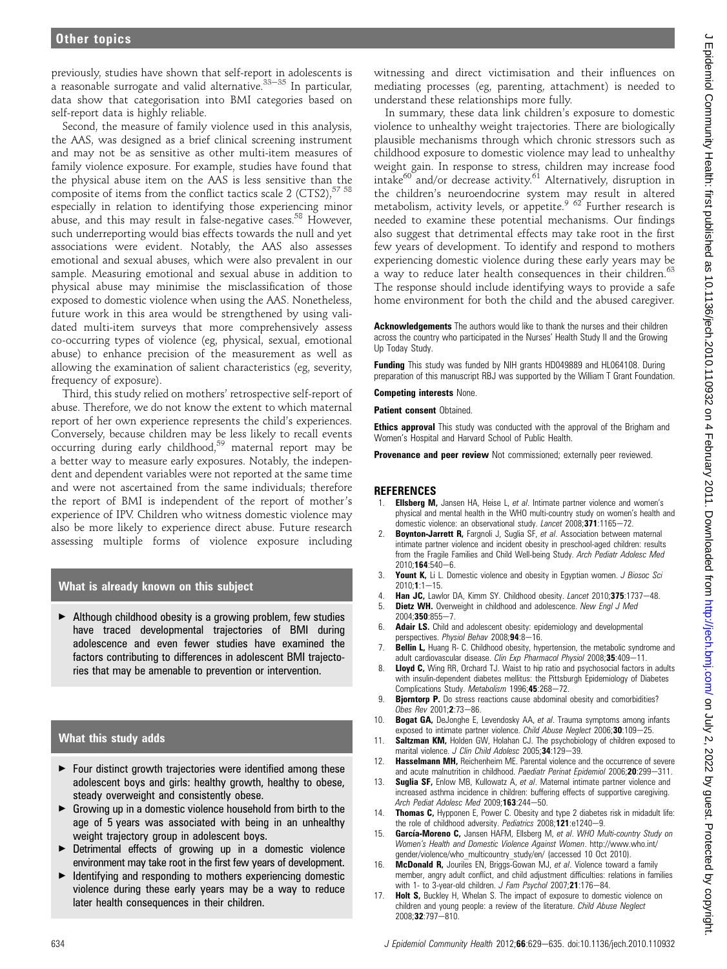previously, studies have shown that self-report in adolescents is a reasonable surrogate and valid alternative.<sup>33-35</sup> In particular, data show that categorisation into BMI categories based on self-report data is highly reliable.

Second, the measure of family violence used in this analysis, the AAS, was designed as a brief clinical screening instrument and may not be as sensitive as other multi-item measures of family violence exposure. For example, studies have found that the physical abuse item on the AAS is less sensitive than the composite of items from the conflict tactics scale 2 (CTS2). $5758$ especially in relation to identifying those experiencing minor abuse, and this may result in false-negative cases.<sup>58</sup> However, such underreporting would bias effects towards the null and yet associations were evident. Notably, the AAS also assesses emotional and sexual abuses, which were also prevalent in our sample. Measuring emotional and sexual abuse in addition to physical abuse may minimise the misclassification of those exposed to domestic violence when using the AAS. Nonetheless, future work in this area would be strengthened by using validated multi-item surveys that more comprehensively assess co-occurring types of violence (eg, physical, sexual, emotional abuse) to enhance precision of the measurement as well as allowing the examination of salient characteristics (eg, severity, frequency of exposure).

Third, this study relied on mothers' retrospective self-report of abuse. Therefore, we do not know the extent to which maternal report of her own experience represents the child's experiences. Conversely, because children may be less likely to recall events occurring during early childhood,<sup>59</sup> maternal report may be a better way to measure early exposures. Notably, the independent and dependent variables were not reported at the same time and were not ascertained from the same individuals; therefore the report of BMI is independent of the report of mother's experience of IPV. Children who witness domestic violence may also be more likely to experience direct abuse. Future research assessing multiple forms of violence exposure including

# What is already known on this subject

 $\blacktriangleright$  Although childhood obesity is a growing problem, few studies have traced developmental trajectories of BMI during adolescence and even fewer studies have examined the factors contributing to differences in adolescent BMI trajectories that may be amenable to prevention or intervention.

## What this study adds

- $\blacktriangleright$  Four distinct growth trajectories were identified among these adolescent boys and girls: healthy growth, healthy to obese, steady overweight and consistently obese.
- < Growing up in a domestic violence household from birth to the age of 5 years was associated with being in an unhealthy weight trajectory group in adolescent boys.
- $\blacktriangleright$  Detrimental effects of growing up in a domestic violence environment may take root in the first few years of development.
- Identifying and responding to mothers experiencing domestic violence during these early years may be a way to reduce later health consequences in their children.

witnessing and direct victimisation and their influences on mediating processes (eg, parenting, attachment) is needed to understand these relationships more fully.

In summary, these data link children's exposure to domestic violence to unhealthy weight trajectories. There are biologically plausible mechanisms through which chronic stressors such as childhood exposure to domestic violence may lead to unhealthy weight gain. In response to stress, children may increase food intake $60$  and/or decrease activity. $61$  Alternatively, disruption in the children's neuroendocrine system may result in altered metabolism, activity levels, or appetite.<sup>9 62</sup> Further research is needed to examine these potential mechanisms. Our findings also suggest that detrimental effects may take root in the first few years of development. To identify and respond to mothers experiencing domestic violence during these early years may be a way to reduce later health consequences in their children.<sup>63</sup> The response should include identifying ways to provide a safe home environment for both the child and the abused caregiver.

Acknowledgements The authors would like to thank the nurses and their children across the country who participated in the Nurses' Health Study II and the Growing Up Today Study.

Funding This study was funded by NIH grants HD049889 and HL064108. During preparation of this manuscript RBJ was supported by the William T Grant Foundation.

Competing interests None.

Patient consent Obtained.

**Ethics approval** This study was conducted with the approval of the Brigham and Women's Hospital and Harvard School of Public Health.

Provenance and peer review Not commissioned; externally peer reviewed.

#### REFERENCES

- 1. **Ellsberg M,** Jansen HA, Heise L, et al. Intimate partner violence and women's physical and mental health in the WHO multi-country study on women's health and domestic violence: an observational study. Lancet 2008;371:1165-72.
- 2. **Boynton-Jarrett R,** Fargnoli J, Suglia SF, et al. Association between maternal intimate partner violence and incident obesity in preschool-aged children: results from the Fragile Families and Child Well-being Study. Arch Pediatr Adolesc Med  $2010:164:540-6.$
- 3. Yount K, Li L. Domestic violence and obesity in Egyptian women. J Biosoc Sci  $2010;1:1-15.$
- 4. Han JC, Lawlor DA, Kimm SY. Childhood obesity. Lancet 2010;375:1737-48.
- 5. Dietz WH. Overweight in childhood and adolescence. New Engl J Med 2004:350:855-7.
- 6. Adair LS. Child and adolescent obesity: epidemiology and developmental perspectives. Physiol Behav 2008;94:8-16.
- 7. **Bellin L,** Huang R- C. Childhood obesity, hypertension, the metabolic syndrome and adult cardiovascular disease. Clin Exp Pharmacol Physiol 2008;35:409-11.
- Lloyd C, Wing RR, Orchard TJ. Waist to hip ratio and psychosocial factors in adults with insulin-dependent diabetes mellitus: the Pittsburgh Epidemiology of Diabetes Complications Study. Metabolism 1996;45:268-72.
- 9. **Bjorntorp P.** Do stress reactions cause abdominal obesity and comorbidities? Obes Rev 2001;2:73-86.
- 10. Bogat GA, DeJonghe E, Levendosky AA, et al. Trauma symptoms among infants exposed to intimate partner violence. Child Abuse Neglect 2006;30:109-25.
- 11. Saltzman KM, Holden GW, Holahan CJ. The psychobiology of children exposed to marital violence. J Clin Child Adolesc 2005;34:129-39.
- 12. Hasselmann MH, Reichenheim ME. Parental violence and the occurrence of severe and acute malnutrition in childhood. Paediatr Perinat Epidemiol 2006;20:299-311.
- 13. Suglia SF, Enlow MB, Kullowatz A, et al. Maternal intimate partner violence and increased asthma incidence in children: buffering effects of supportive caregiving. Arch Pediat Adolesc Med 2009;163:244-50.
- 14. **Thomas C,** Hypponen E, Power C. Obesity and type 2 diabetes risk in midadult life: the role of childhood adversity. Pediatrics 2008;121:e1240-9.
- 15. García-Moreno C, Jansen HAFM, Ellsberg M, et al. WHO Multi-country Study on Women's Health and Domestic Violence Against Women. http://www.who.int/ gender/violence/who\_multicountry\_study/en/ (accessed 10 Oct 2010).
- 16. McDonald R, Jouriles EN, Briggs-Gowan MJ, et al. Violence toward a family member, angry adult conflict, and child adjustment difficulties: relations in families with 1- to 3-year-old children. J Fam Psychol 2007;21:176-84.
- 17. **Holt S,** Buckley H, Whelan S. The impact of exposure to domestic violence on children and young people: a review of the literature. Child Abuse Neglect 2008:32:797-810